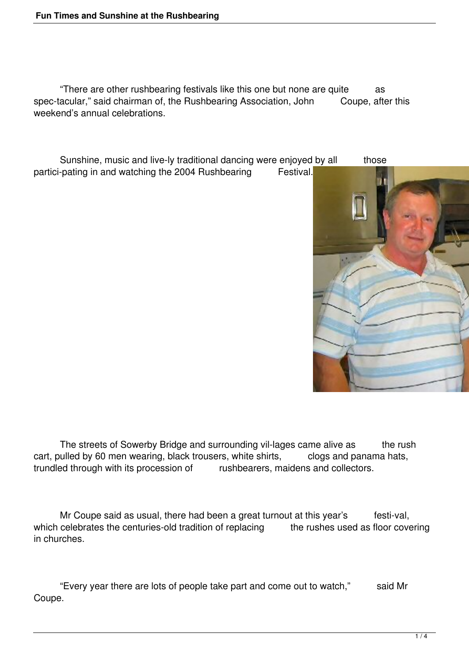"There are other rushbearing festivals like this one but none are quite as spec-tacular," said chairman of, the Rushbearing Association, John Coupe, after this weekend's annual celebrations.

Sunshine, music and live-ly traditional dancing were enjoyed by all those partici-pating in and watching the 2004 Rushbearing Festival.



The streets of Sowerby Bridge and surrounding vil-lages came alive as the rush cart, pulled by 60 men wearing, black trousers, white shirts, clogs and panama hats, trundled through with its procession of rushbearers, maidens and collectors.

Mr Coupe said as usual, there had been a great turnout at this year's festi-val, which celebrates the centuries-old tradition of replacing the rushes used as floor covering in churches.

 "Every year there are lots of people take part and come out to watch," said Mr Coupe.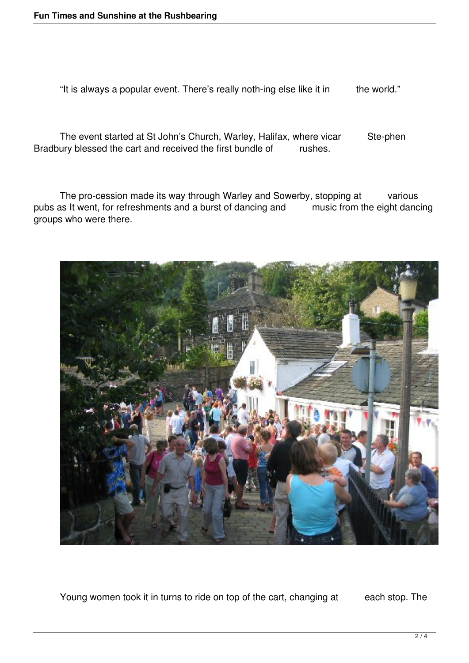"It is always a popular event. There's really noth-ing else like it in the world."

The event started at St John's Church, Warley, Halifax, where vicar Ste-phen Bradbury blessed the cart and received the first bundle of rushes.

The pro-cession made its way through Warley and Sowerby, stopping at various<br>as It went, for refreshments and a burst of dancing and music from the eight dancing pubs as It went, for refreshments and a burst of dancing and groups who were there.



Young women took it in turns to ride on top of the cart, changing at each stop. The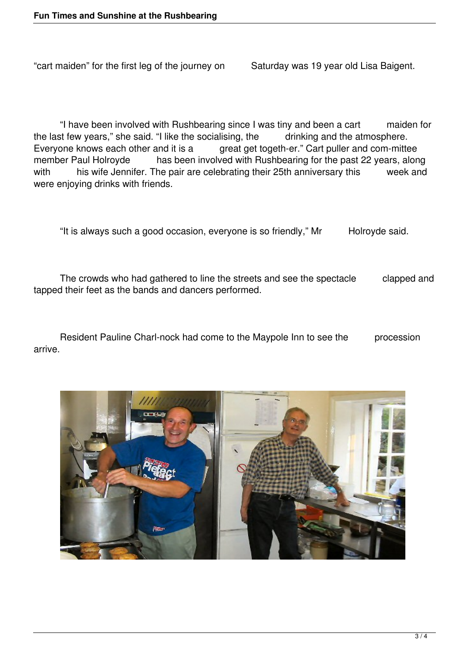"cart maiden" for the first leg of the journey on Saturday was 19 year old Lisa Baigent.

 "I have been involved with Rushbearing since I was tiny and been a cart maiden for the last few years," she said. "I like the socialising, the drinking and the atmosphere. Everyone knows each other and it is a great get togeth-er." Cart puller and com-mittee member Paul Holroyde has been involved with Rushbearing for the past 22 years, along with his wife Jennifer. The pair are celebrating their 25th anniversary this week and were enjoying drinks with friends.

"It is always such a good occasion, everyone is so friendly," Mr Holroyde said.

 The crowds who had gathered to line the streets and see the spectacle clapped and tapped their feet as the bands and dancers performed.

Resident Pauline Charl-nock had come to the Maypole Inn to see the procession arrive.